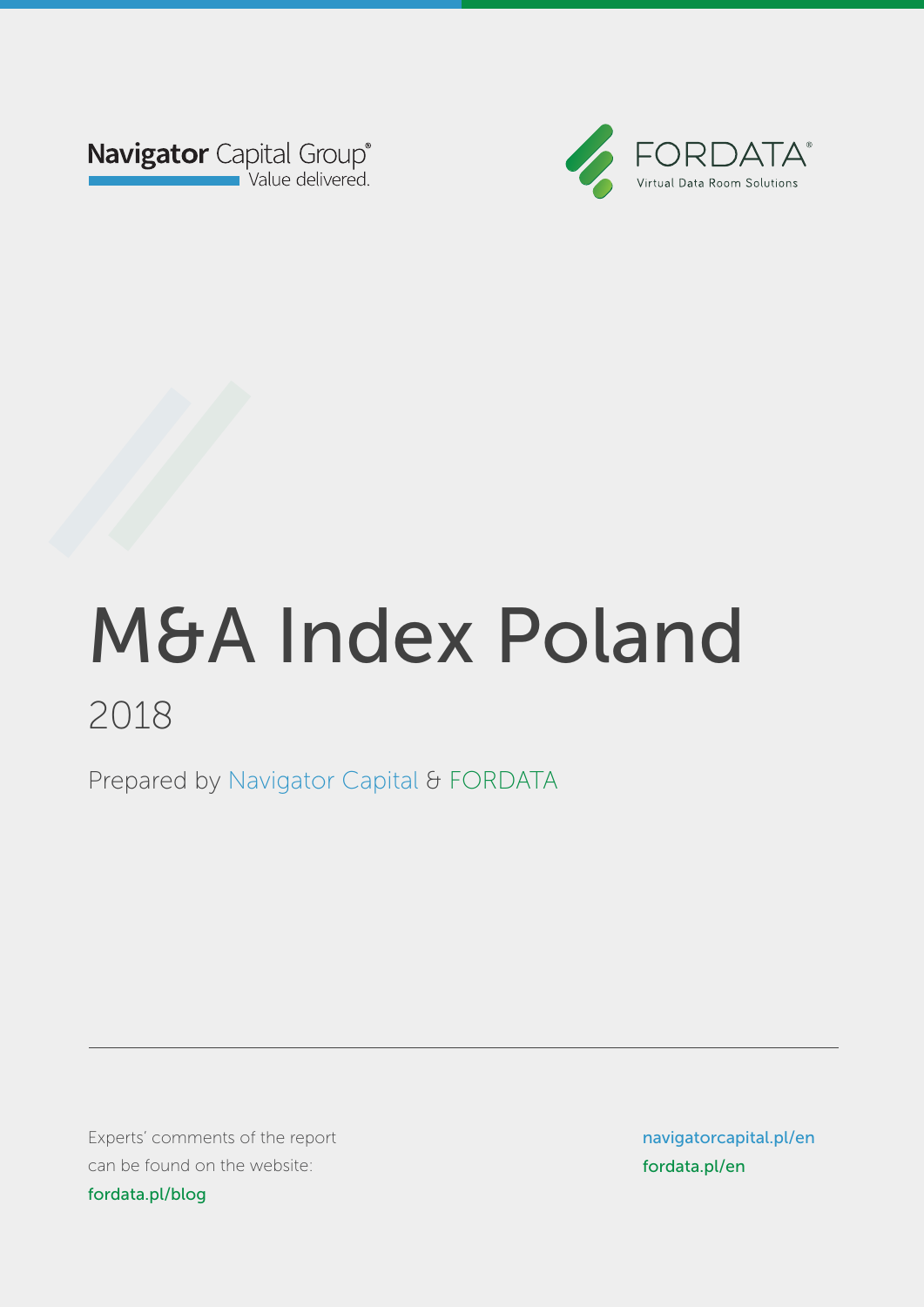



Prepared by Navigator Capital & FORDATA Prepared by Navigator Capital & FORDATA

Experts' comments of the report can be found on the website: blog.fordata.plog.for fordata.pl/blog

navigatorcapital.p/en navigatorcapital.pl/en www.fordata.pl/en fordata.pl/en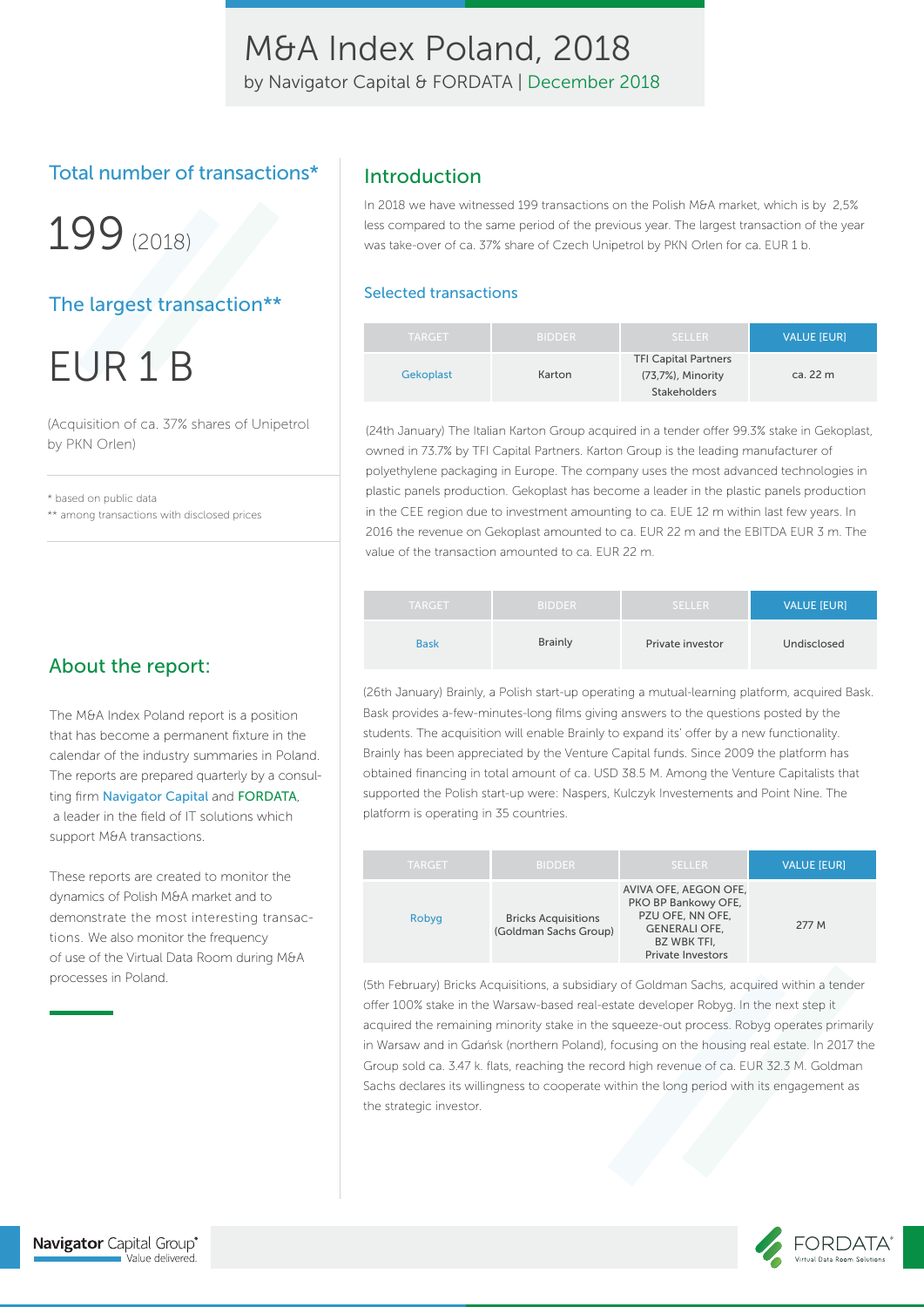by Navigator Capital & FORDATA | December 2018

### Total number of transactions\*

199(2018)

### The largest transaction\*\*

EUR 1 B

(Acquisition of ca. 37% shares of Unipetrol by PKN Orlen)

\* based on public data \*\* among transactions with disclosed prices

### About the report:

The M&A Index Poland report is a position that has become a permanent fixture in the calendar of the industry summaries in Poland. The reports are prepared quarterly by a consulting firm Navigator Capital and FORDATA, a leader in the field of IT solutions which support M&A transactions.

These reports are created to monitor the dynamics of Polish M&A market and to demonstrate the most interesting transactions. We also monitor the frequency of use of the Virtual Data Room during M&A processes in Poland.

### Introduction

In 2018 we have witnessed 199 transactions on the Polish M&A market, which is by 2,5% less compared to the same period of the previous year. The largest transaction of the year was take-over of ca. 37% share of Czech Unipetrol by PKN Orlen for ca. EUR 1 b.

#### Selected transactions

| <b>TARGET</b> | <b>BIDDER</b> | <b>SELLER</b>                                                    | <b>VALUE [EUR]</b> |
|---------------|---------------|------------------------------------------------------------------|--------------------|
| Gekoplast     | Karton        | <b>TFI Capital Partners</b><br>(73,7%), Minority<br>Stakeholders | ca. 22 m           |

(24th January) The Italian Karton Group acquired in a tender offer 99.3% stake in Gekoplast, owned in 73.7% by TFI Capital Partners. Karton Group is the leading manufacturer of polyethylene packaging in Europe. The company uses the most advanced technologies in plastic panels production. Gekoplast has become a leader in the plastic panels production in the CEE region due to investment amounting to ca. EUE 12 m within last few years. In 2016 the revenue on Gekoplast amounted to ca. EUR 22 m and the EBITDA EUR 3 m. The value of the transaction amounted to ca. EUR 22 m.

| <b>TARGET</b> | <b>BIDDER</b>  | <b>SELLER</b>    | <b>VALUE [EUR]</b> |
|---------------|----------------|------------------|--------------------|
| <b>Bask</b>   | <b>Brainly</b> | Private investor | Undisclosed        |

(26th January) Brainly, a Polish start-up operating a mutual-learning platform, acquired Bask. Bask provides a-few-minutes-long films giving answers to the questions posted by the students. The acquisition will enable Brainly to expand its' offer by a new functionality. Brainly has been appreciated by the Venture Capital funds. Since 2009 the platform has obtained financing in total amount of ca. USD 38.5 M. Among the Venture Capitalists that supported the Polish start-up were: Naspers, Kulczyk Investements and Point Nine. The platform is operating in 35 countries.

| <b>TARGET</b> | <b>BIDDER</b>                                       | <b>SELLER</b>                                                                                                                              | <b>VALUE [EUR]</b> |
|---------------|-----------------------------------------------------|--------------------------------------------------------------------------------------------------------------------------------------------|--------------------|
| Robyg         | <b>Bricks Acquisitions</b><br>(Goldman Sachs Group) | AVIVA OFE, AEGON OFE,<br>PKO BP Bankowy OFE,<br>PZU OFE, NN OFE,<br><b>GENERALI OFE.</b><br><b>BZ WBK TFI.</b><br><b>Private Investors</b> | 277 M              |

(5th February) Bricks Acquisitions, a subsidiary of Goldman Sachs, acquired within a tender offer 100% stake in the Warsaw-based real-estate developer Robyg. In the next step it acquired the remaining minority stake in the squeeze-out process. Robyg operates primarily in Warsaw and in Gdańsk (northern Poland), focusing on the housing real estate. In 2017 the Group sold ca. 3.47 k. flats, reaching the record high revenue of ca. EUR 32.3 M. Goldman Sachs declares its willingness to cooperate within the long period with its engagement as the strategic investor.

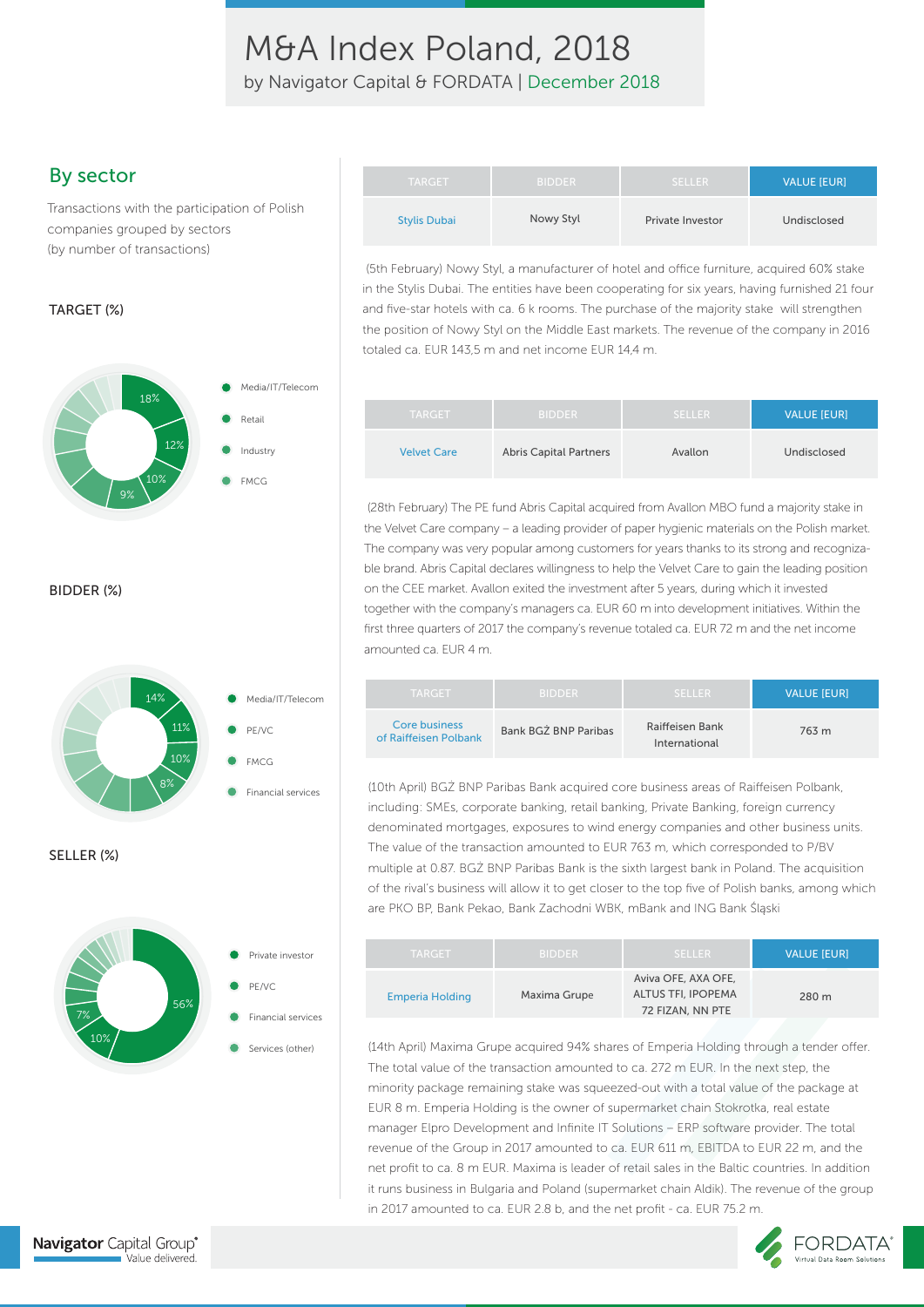by Navigator Capital & FORDATA | December 2018

Transactions with the participation of Polish companies grouped by sectors (by number of transactions)

#### TARGET (%)



BIDDER (%)





| By sector                                                                     | <b>TARGET</b>       | <b>BIDDER</b> | <b>SELLER</b>           | <b>VALUE IEURI</b> |
|-------------------------------------------------------------------------------|---------------------|---------------|-------------------------|--------------------|
| Transactions with the participation of Polish<br>companies grouped by sectors | <b>Stylis Dubai</b> | Nowy Styl     | <b>Private Investor</b> | Undisclosed        |

(5th February) Nowy Styl, a manufacturer of hotel and office furniture, acquired 60% stake in the Stylis Dubai. The entities have been cooperating for six years, having furnished 21 four and five-star hotels with ca. 6 k rooms. The purchase of the majority stake will strengthen the position of Nowy Styl on the Middle East markets. The revenue of the company in 2016 totaled ca. EUR 143,5 m and net income EUR 14,4 m.

| <b>TARGET</b>      | <b>BIDDER</b>                 | <b>SELLER</b> | <b>VALUE [EUR]</b> |
|--------------------|-------------------------------|---------------|--------------------|
| <b>Velvet Care</b> | <b>Abris Capital Partners</b> | Avallon       | Undisclosed        |

 (28th February) The PE fund Abris Capital acquired from Avallon MBO fund a majority stake in the Velvet Care company – a leading provider of paper hygienic materials on the Polish market. The company was very popular among customers for years thanks to its strong and recognizable brand. Abris Capital declares willingness to help the Velvet Care to gain the leading position on the CEE market. Avallon exited the investment after 5 years, during which it invested together with the company's managers ca. EUR 60 m into development initiatives. Within the first three quarters of 2017 the company's revenue totaled ca. EUR 72 m and the net income amounted ca. EUR 4 m.

| <b>TARGET</b>                          | <b>BIDDER</b>        | <b>SELLER</b>                    | <b>VALUE IEURI</b> |
|----------------------------------------|----------------------|----------------------------------|--------------------|
| Core business<br>of Raiffeisen Polbank | Bank BGZ BNP Paribas | Raiffeisen Bank<br>International | 763 m              |

(10th April) BGŻ BNP Paribas Bank acquired core business areas of Raiffeisen Polbank, including: SMEs, corporate banking, retail banking, Private Banking, foreign currency denominated mortgages, exposures to wind energy companies and other business units. The value of the transaction amounted to EUR 763 m, which corresponded to P/BV multiple at 0.87. BGŻ BNP Paribas Bank is the sixth largest bank in Poland. The acquisition of the rival's business will allow it to get closer to the top five of Polish banks, among which are PKO BP, Bank Pekao, Bank Zachodni WBK, mBank and ING Bank Śląski

| <b>TARGET</b>          | <b>BIDDER</b> | <b>SELLER</b>                                                        | <b>VALUE IEURI</b> |
|------------------------|---------------|----------------------------------------------------------------------|--------------------|
| <b>Emperia Holding</b> | Maxima Grupe  | Aviva OFE, AXA OFE,<br><b>ALTUS TFI, IPOPEMA</b><br>72 FIZAN, NN PTE | 280 m              |

(14th April) Maxima Grupe acquired 94% shares of Emperia Holding through a tender offer. The total value of the transaction amounted to ca. 272 m EUR. In the next step, the minority package remaining stake was squeezed-out with a total value of the package at EUR 8 m. Emperia Holding is the owner of supermarket chain Stokrotka, real estate manager Elpro Development and Infinite IT Solutions – ERP software provider. The total revenue of the Group in 2017 amounted to ca. EUR 611 m, EBITDA to EUR 22 m, and the net profit to ca. 8 m EUR. Maxima is leader of retail sales in the Baltic countries. In addition it runs business in Bulgaria and Poland (supermarket chain Aldik). The revenue of the group in 2017 amounted to ca. EUR 2.8 b, and the net profit - ca. EUR 75.2 m.

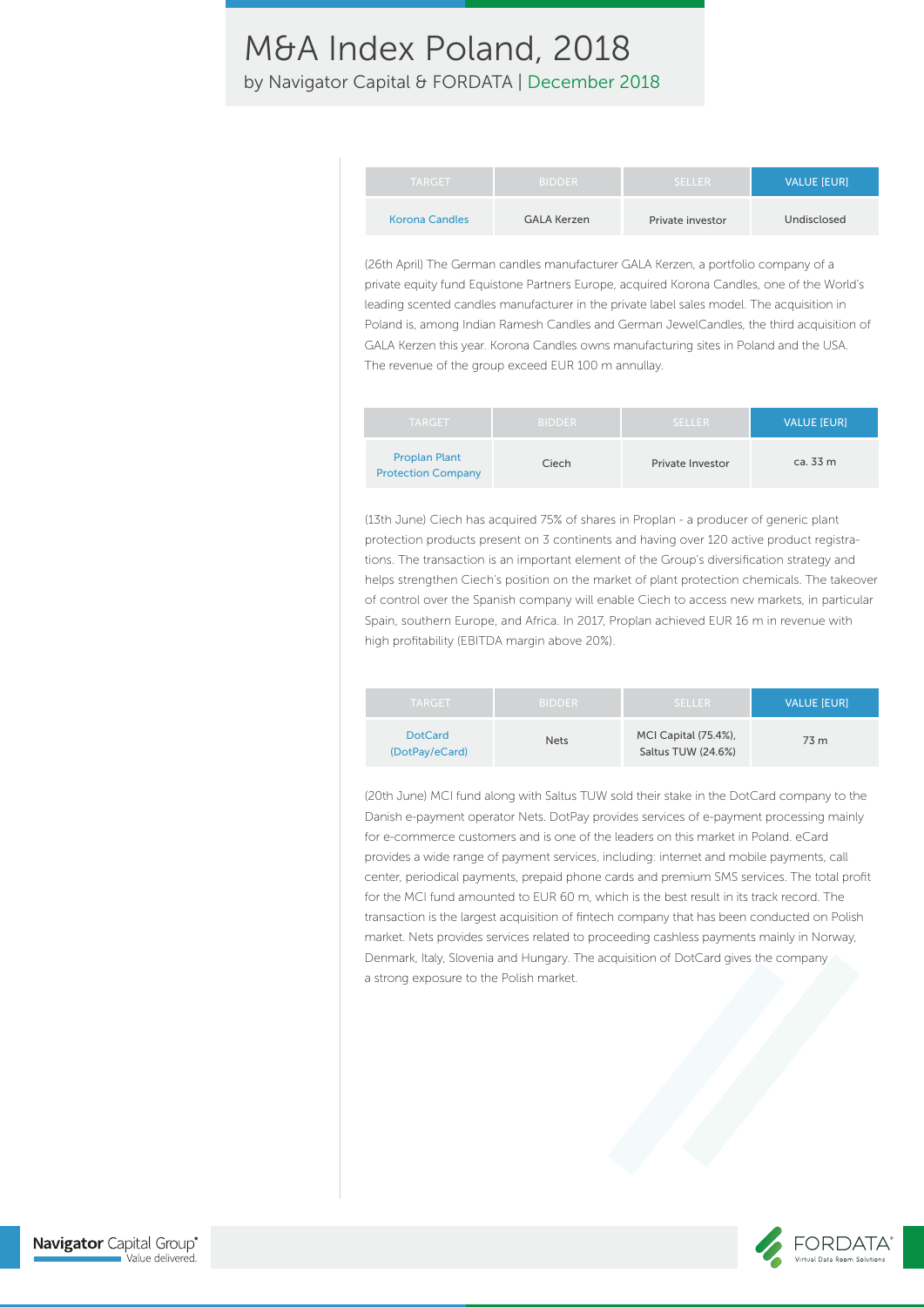by Navigator Capital & FORDATA | December 2018

| <b>TARGET</b>         | <b>BIDDER</b>      | <b>SELLER</b>    | <b>VALUE IEURI</b> |
|-----------------------|--------------------|------------------|--------------------|
| <b>Korona Candles</b> | <b>GALA Kerzen</b> | Private investor | Undisclosed        |

(26th April) The German candles manufacturer GALA Kerzen, a portfolio company of a private equity fund Equistone Partners Europe, acquired Korona Candles, one of the World's leading scented candles manufacturer in the private label sales model. The acquisition in Poland is, among Indian Ramesh Candles and German JewelCandles, the third acquisition of GALA Kerzen this year. Korona Candles owns manufacturing sites in Poland and the USA. The revenue of the group exceed EUR 100 m annullay.

| <b>TARGET</b>                                     | <b>BIDDER</b> | <b>SELLER</b>           | <b>VALUE [EUR]</b> |
|---------------------------------------------------|---------------|-------------------------|--------------------|
| <b>Proplan Plant</b><br><b>Protection Company</b> | Ciech         | <b>Private Investor</b> | ca. 33 m           |

(13th June) Ciech has acquired 75% of shares in Proplan - a producer of generic plant protection products present on 3 continents and having over 120 active product registrations. The transaction is an important element of the Group's diversification strategy and helps strengthen Ciech's position on the market of plant protection chemicals. The takeover of control over the Spanish company will enable Ciech to access new markets, in particular Spain, southern Europe, and Africa. In 2017, Proplan achieved EUR 16 m in revenue with high profitability (EBITDA margin above 20%).

| <b>TARGET</b>                    | <b>BIDDER</b> | <b>SELLER</b>                                     | <b>VALUE IEURI</b> |
|----------------------------------|---------------|---------------------------------------------------|--------------------|
| <b>DotCard</b><br>(DotPay/eCard) | <b>Nets</b>   | <b>MCI Capital (75.4%),</b><br>Saltus TUW (24.6%) | 73 m               |

(20th June) MCI fund along with Saltus TUW sold their stake in the DotCard company to the Danish e-payment operator Nets. DotPay provides services of e-payment processing mainly for e-commerce customers and is one of the leaders on this market in Poland. eCard provides a wide range of payment services, including: internet and mobile payments, call center, periodical payments, prepaid phone cards and premium SMS services. The total profit for the MCI fund amounted to EUR 60 m, which is the best result in its track record. The transaction is the largest acquisition of fintech company that has been conducted on Polish market. Nets provides services related to proceeding cashless payments mainly in Norway, Denmark, Italy, Slovenia and Hungary. The acquisition of DotCard gives the company a strong exposure to the Polish market.

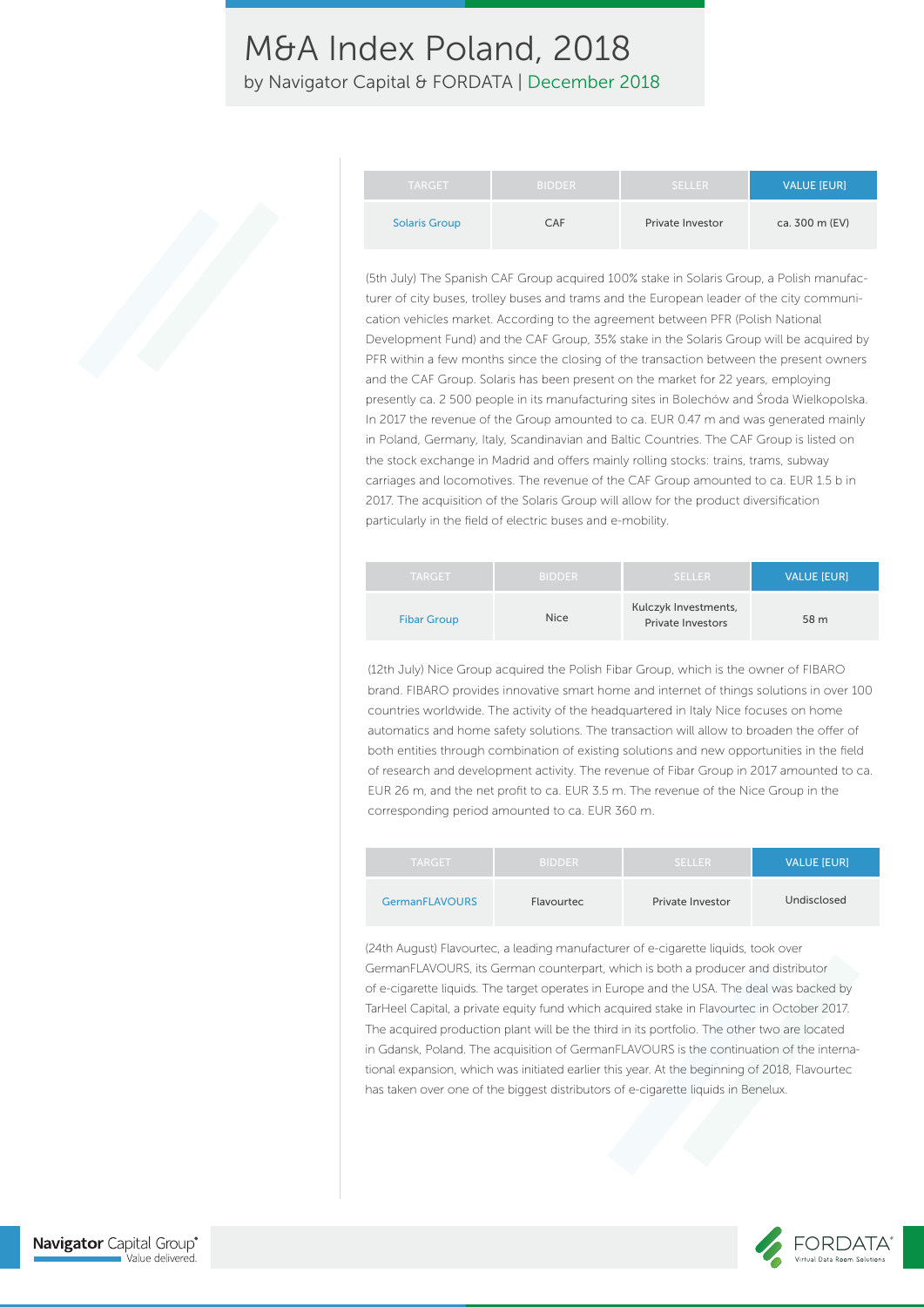by Navigator Capital & FORDATA | December 2018

| <b>TARGET</b>        | <b>BIDDER</b> | <b>SELLER</b>           | <b>VALUE IEURI</b> |
|----------------------|---------------|-------------------------|--------------------|
| <b>Solaris Group</b> | CAF           | <b>Private Investor</b> | ca. 300 m (EV)     |

(5th July) The Spanish CAF Group acquired 100% stake in Solaris Group, a Polish manufacturer of city buses, trolley buses and trams and the European leader of the city communication vehicles market. According to the agreement between PFR (Polish National Development Fund) and the CAF Group, 35% stake in the Solaris Group will be acquired by PFR within a few months since the closing of the transaction between the present owners and the CAF Group. Solaris has been present on the market for 22 years, employing presently ca. 2 500 people in its manufacturing sites in Bolechów and Środa Wielkopolska. In 2017 the revenue of the Group amounted to ca. EUR 0.47 m and was generated mainly in Poland, Germany, Italy, Scandinavian and Baltic Countries. The CAF Group is listed on the stock exchange in Madrid and offers mainly rolling stocks: trains, trams, subway carriages and locomotives. The revenue of the CAF Group amounted to ca. EUR 1.5 b in 2017. The acquisition of the Solaris Group will allow for the product diversification particularly in the field of electric buses and e-mobility.

| <b>TARGET</b>      | <b>BIDDER</b> | <b>SELLER</b>                                    | <b>VALUE [EUR]</b> |
|--------------------|---------------|--------------------------------------------------|--------------------|
| <b>Fibar Group</b> | <b>Nice</b>   | Kulczyk Investments,<br><b>Private Investors</b> | 58 m               |

(12th July) Nice Group acquired the Polish Fibar Group, which is the owner of FIBARO brand. FIBARO provides innovative smart home and internet of things solutions in over 100 countries worldwide. The activity of the headquartered in Italy Nice focuses on home automatics and home safety solutions. The transaction will allow to broaden the offer of both entities through combination of existing solutions and new opportunities in the field of research and development activity. The revenue of Fibar Group in 2017 amounted to ca. EUR 26 m, and the net profit to ca. EUR 3.5 m. The revenue of the Nice Group in the corresponding period amounted to ca. EUR 360 m.

| <b>TARGET</b>         | <b>BIDDER</b> | <b>SELLER</b>    | <b>VALUE [EUR]</b> |
|-----------------------|---------------|------------------|--------------------|
| <b>GermanFLAVOURS</b> | Flavourtec    | Private Investor | Undisclosed        |

(24th August) Flavourtec, a leading manufacturer of e-cigarette liquids, took over GermanFLAVOURS, its German counterpart, which is both a producer and distributor of e-cigarette liquids. The target operates in Europe and the USA. The deal was backed by TarHeel Capital, a private equity fund which acquired stake in Flavourtec in October 2017. The acquired production plant will be the third in its portfolio. The other two are located in Gdansk, Poland. The acquisition of GermanFLAVOURS is the continuation of the international expansion, which was initiated earlier this year. At the beginning of 2018, Flavourtec has taken over one of the biggest distributors of e-cigarette liquids in Benelux.



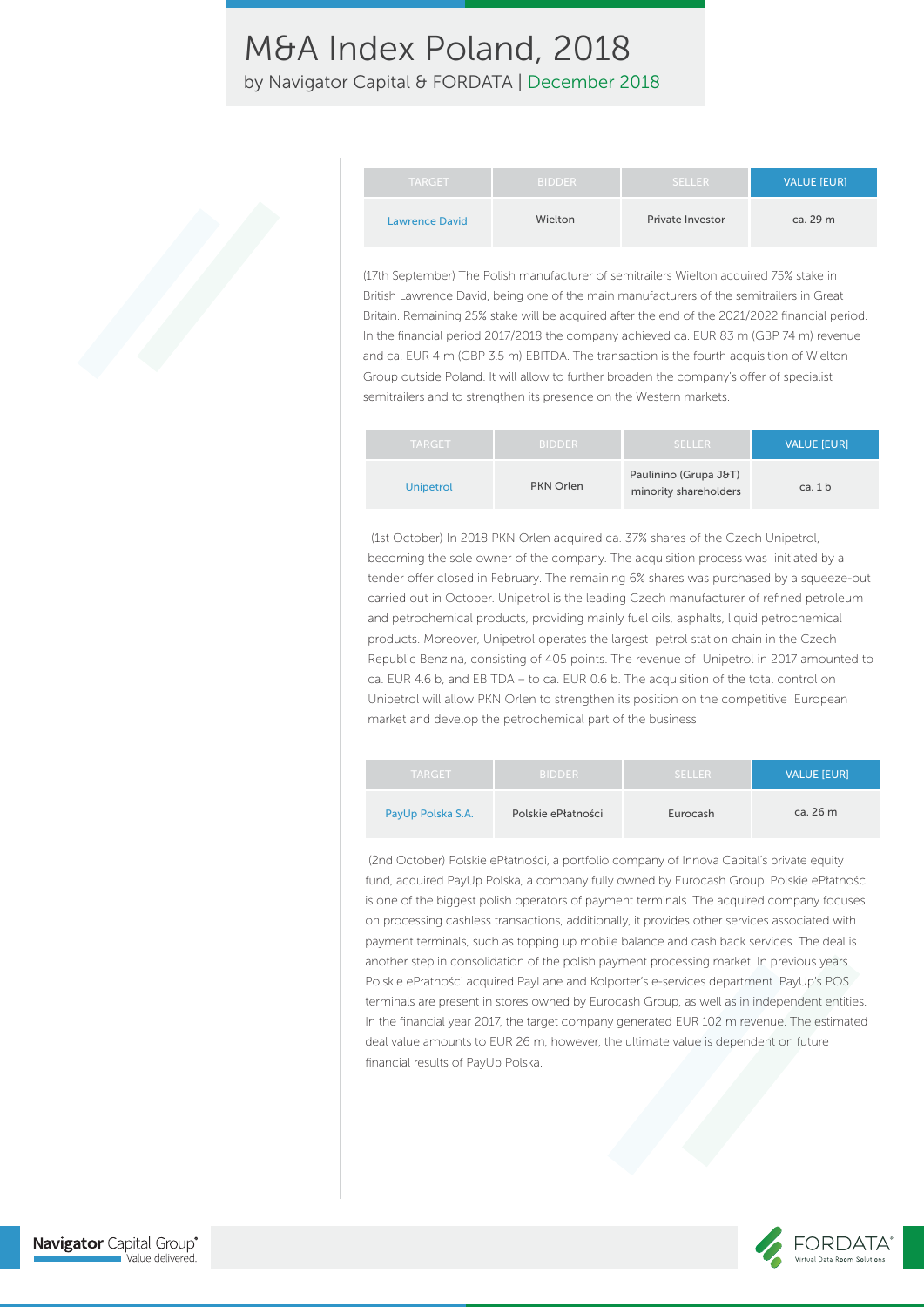by Navigator Capital & FORDATA | December 2018

| <b>TARGET</b>         | <b>BIDDER</b> | <b>SELLER</b>           | VALUE [EUR] |
|-----------------------|---------------|-------------------------|-------------|
| <b>Lawrence David</b> | Wielton       | <b>Private Investor</b> | ca. 29 m    |

(17th September) The Polish manufacturer of semitrailers Wielton acquired 75% stake in British Lawrence David, being one of the main manufacturers of the semitrailers in Great Britain. Remaining 25% stake will be acquired after the end of the 2021/2022 financial period. In the financial period 2017/2018 the company achieved ca. EUR 83 m (GBP 74 m) revenue and ca. EUR 4 m (GBP 3.5 m) EBITDA. The transaction is the fourth acquisition of Wielton Group outside Poland. It will allow to further broaden the company's offer of specialist semitrailers and to strengthen its presence on the Western markets.

| <b>TARGET</b>    | <b>BIDDER</b> | SELLER                                         | <b>VALUE IEURI</b> |
|------------------|---------------|------------------------------------------------|--------------------|
| <b>Unipetrol</b> | PKN Orlen     | Paulinino (Grupa J&T)<br>minority shareholders | ca. $1 b$          |

 (1st October) In 2018 PKN Orlen acquired ca. 37% shares of the Czech Unipetrol, becoming the sole owner of the company. The acquisition process was initiated by a tender offer closed in February. The remaining 6% shares was purchased by a squeeze-out carried out in October. Unipetrol is the leading Czech manufacturer of refined petroleum and petrochemical products, providing mainly fuel oils, asphalts, liquid petrochemical products. Moreover, Unipetrol operates the largest petrol station chain in the Czech Republic Benzina, consisting of 405 points. The revenue of Unipetrol in 2017 amounted to ca. EUR 4.6 b, and EBITDA – to ca. EUR 0.6 b. The acquisition of the total control on Unipetrol will allow PKN Orlen to strengthen its position on the competitive European market and develop the petrochemical part of the business.

| <b>TARGET</b>     | <b>BIDDER</b>      | <b>SELLER</b> | <b>VALUE [EUR]</b> |
|-------------------|--------------------|---------------|--------------------|
| PayUp Polska S.A. | Polskie ePłatności | Eurocash      | ca. 26 m           |

 (2nd October) Polskie ePłatności, a portfolio company of Innova Capital's private equity fund, acquired PayUp Polska, a company fully owned by Eurocash Group. Polskie ePłatności is one of the biggest polish operators of payment terminals. The acquired company focuses on processing cashless transactions, additionally, it provides other services associated with payment terminals, such as topping up mobile balance and cash back services. The deal is another step in consolidation of the polish payment processing market. In previous years Polskie ePłatności acquired PayLane and Kolporter's e-services department. PayUp's POS terminals are present in stores owned by Eurocash Group, as well as in independent entities. In the financial year 2017, the target company generated EUR 102 m revenue. The estimated deal value amounts to EUR 26 m, however, the ultimate value is dependent on future financial results of PayUp Polska.

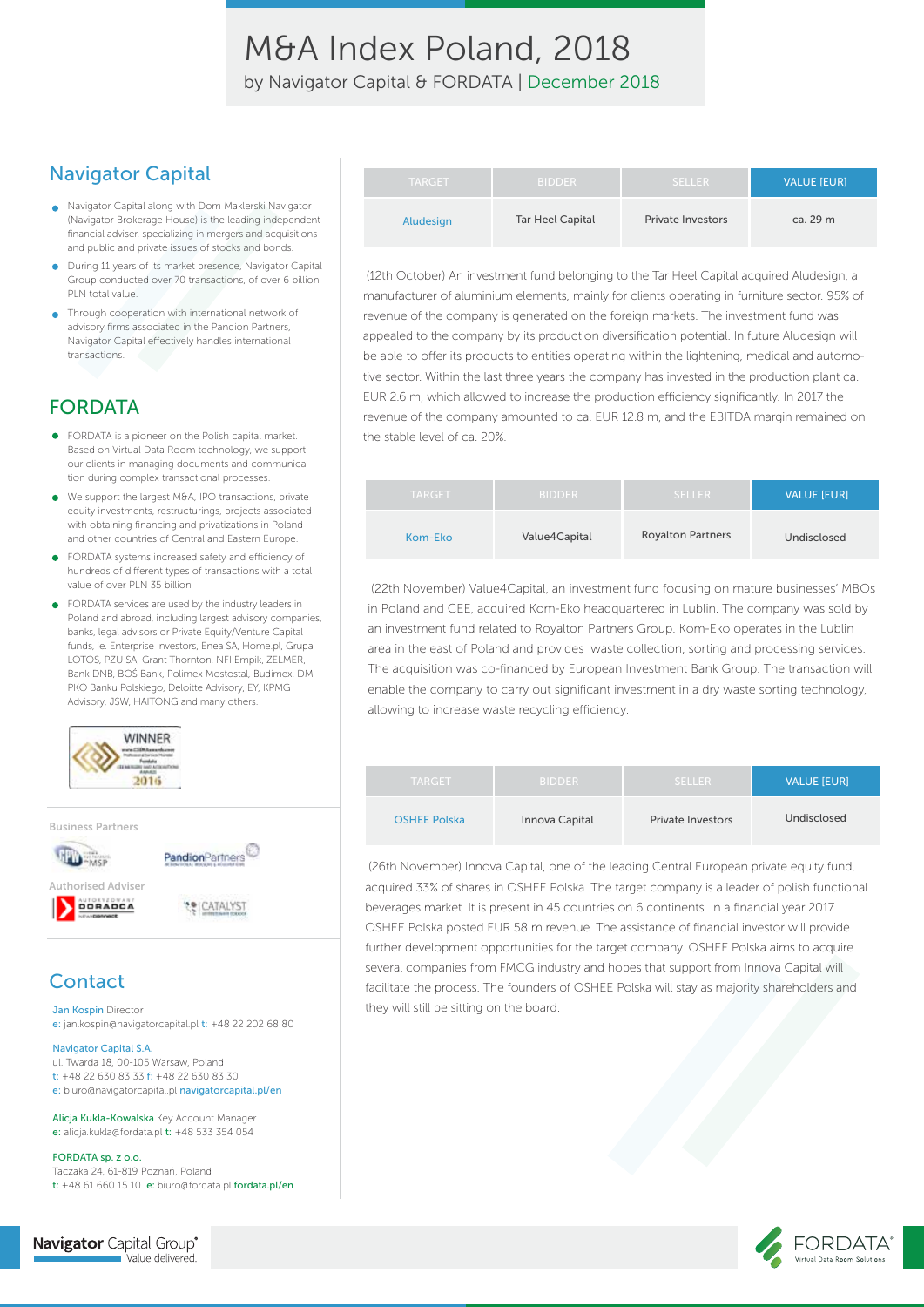M&A Index Poland, 2018 by Navigator Capital & FORDATA | December 2018

### Navigator Capital

- Navigator Capital along with Dom Maklerski Navigator (Navigator Brokerage House) is the leading independent financial adviser, specializing in mergers and acquisitions and public and private issues of stocks and bonds.
- During 11 years of its market presence, Navigator Capital Group conducted over 70 transactions, of over 6 billion PLN total value.
- Through cooperation with international network of advisory firms associated in the Pandion Partners, Navigator Capital effectively handles international transactions.

### FORDATA

- FORDATA is a pioneer on the Polish capital market. Based on Virtual Data Room technology, we support our clients in managing documents and communication during complex transactional processes.
- We support the largest M&A, IPO transactions, private  $\bullet$ equity investments, restructurings, projects associated with obtaining financing and privatizations in Poland and other countries of Central and Eastern Europe.
- FORDATA systems increased safety and efficiency of hundreds of different types of transactions with a total value of over PLN 35 billion
- FORDATA services are used by the industry leaders in Poland and abroad, including largest advisory companies, banks, legal advisors or Private Equity/Venture Capital funds, ie. Enterprise Investors, Enea SA, Home pl, Grupa LOTOS, PZU SA, Grant Thornton, NFI Empik, ZELMER, Bank DNB, BOŚ Bank, Polimex Mostostal, Budimex, DM PKO Banku Polskiego, Deloitte Advisory, EY, KPMG Advisory, JSW, HAITONG and many others.



### **Contact**

Jan Kospin Director e: jan.kospin@navigatorcapital.pl t: +48 22 202 68 80

#### Navigator Capital S.A.

ul. Twarda 18, 00-105 Warsaw, Poland t: +48 22 630 83 33 f: +48 22 630 83 30 e: biuro@navigatorcapital.pl navigatorcapital.pl/en

Alicja Kukla-Kowalska Key Account Manager e: alicja.kukla@fordata.pl t: +48 533 354 054

FORDATA sp. z o.o. Taczaka 24, 61-819 Poznań, Poland t: +48 61 660 15 10 e: biuro@fordata.pl fordata.pl/en

| <b>TARGET</b> | <b>BIDDER</b>           | <b>SELLER</b>            | <b>VALUE IEURI</b> |
|---------------|-------------------------|--------------------------|--------------------|
| Aludesign     | <b>Tar Heel Capital</b> | <b>Private Investors</b> | ca. 29 m           |

 (12th October) An investment fund belonging to the Tar Heel Capital acquired Aludesign, a manufacturer of aluminium elements, mainly for clients operating in furniture sector. 95% of revenue of the company is generated on the foreign markets. The investment fund was appealed to the company by its production diversification potential. In future Aludesign will be able to offer its products to entities operating within the lightening, medical and automotive sector. Within the last three years the company has invested in the production plant ca. EUR 2.6 m, which allowed to increase the production efficiency significantly. In 2017 the revenue of the company amounted to ca. EUR 12.8 m, and the EBITDA margin remained on the stable level of ca. 20%.

| <b>TARGET</b> | <b>BIDDER</b> | <b>SELLER</b>            | <b>VALUE [EUR]</b> |
|---------------|---------------|--------------------------|--------------------|
| Kom-Eko       | Value4Capital | <b>Royalton Partners</b> | Undisclosed        |

 (22th November) Value4Capital, an investment fund focusing on mature businesses' MBOs in Poland and CEE, acquired Kom-Eko headquartered in Lublin. The company was sold by an investment fund related to Royalton Partners Group. Kom-Eko operates in the Lublin area in the east of Poland and provides waste collection, sorting and processing services. The acquisition was co-financed by European Investment Bank Group. The transaction will enable the company to carry out significant investment in a dry waste sorting technology, allowing to increase waste recycling efficiency.

| <b>TARGET</b>       | <b>BIDDER</b>  | <b>SELLER</b>            | <b>VALUE [EUR]</b> |
|---------------------|----------------|--------------------------|--------------------|
| <b>OSHEE Polska</b> | Innova Capital | <b>Private Investors</b> | Undisclosed        |

 (26th November) Innova Capital, one of the leading Central European private equity fund, acquired 33% of shares in OSHEE Polska. The target company is a leader of polish functional beverages market. It is present in 45 countries on 6 continents. In a financial year 2017 OSHEE Polska posted EUR 58 m revenue. The assistance of financial investor will provide further development opportunities for the target company. OSHEE Polska aims to acquire several companies from FMCG industry and hopes that support from Innova Capital will facilitate the process. The founders of OSHEE Polska will stay as majority shareholders and they will still be sitting on the board.



**Navigator** Capital Group® Value delivered.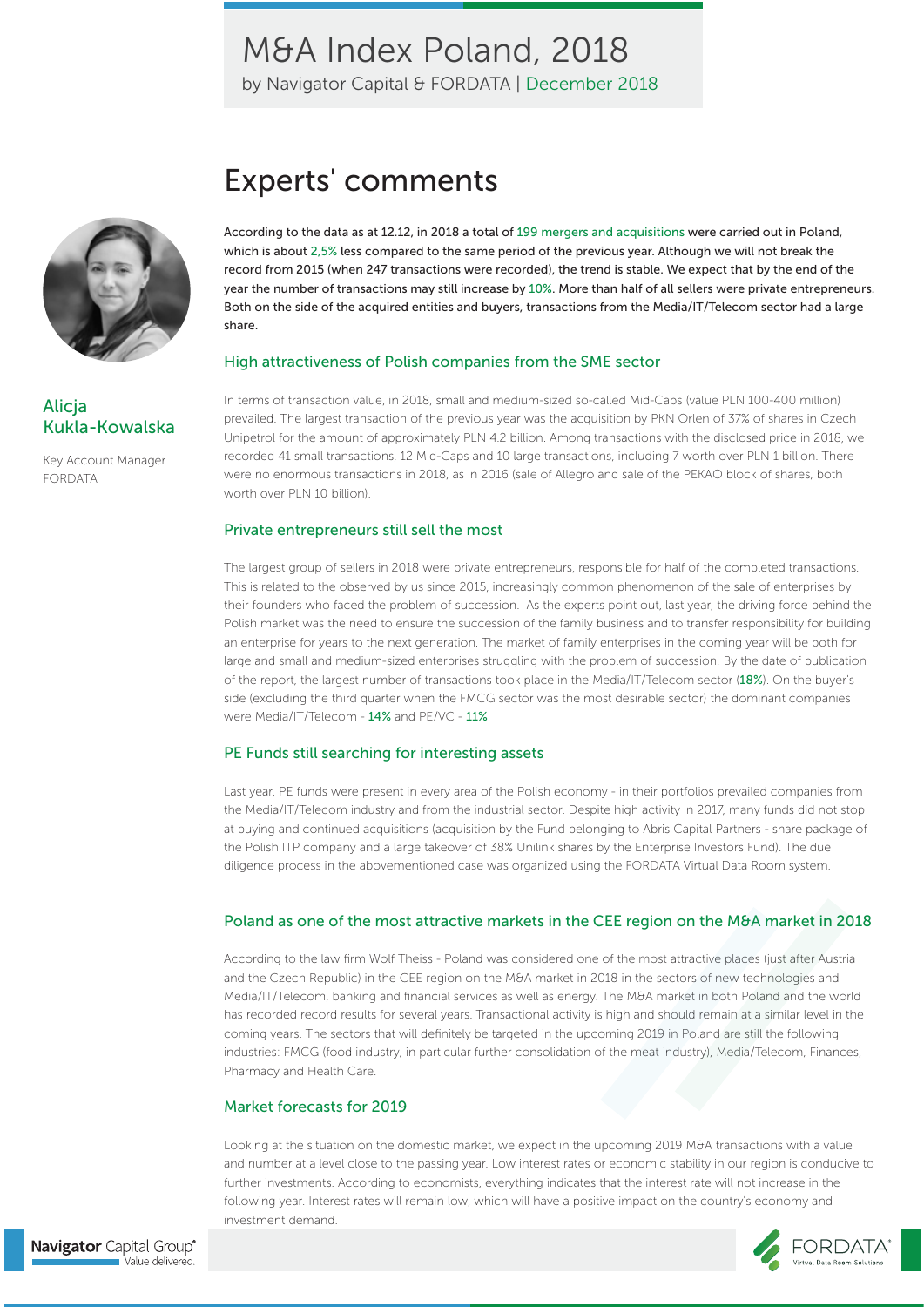by Navigator Capital & FORDATA | December 2018



### Alicja Kukla-Kowalska

Key Account Manager FORDATA

# Experts' comments

According to the data as at 12.12, in 2018 a total of 199 mergers and acquisitions were carried out in Poland, which is about 2,5% less compared to the same period of the previous year. Although we will not break the record from 2015 (when 247 transactions were recorded), the trend is stable. We expect that by the end of the year the number of transactions may still increase by 10%. More than half of all sellers were private entrepreneurs. Both on the side of the acquired entities and buyers, transactions from the Media/IT/Telecom sector had a large share.

#### High attractiveness of Polish companies from the SME sector

In terms of transaction value, in 2018, small and medium-sized so-called Mid-Caps (value PLN 100-400 million) prevailed. The largest transaction of the previous year was the acquisition by PKN Orlen of 37% of shares in Czech Unipetrol for the amount of approximately PLN 4.2 billion. Among transactions with the disclosed price in 2018, we recorded 41 small transactions, 12 Mid-Caps and 10 large transactions, including 7 worth over PLN 1 billion. There were no enormous transactions in 2018, as in 2016 (sale of Allegro and sale of the PEKAO block of shares, both worth over PLN 10 billion).

#### Private entrepreneurs still sell the most

The largest group of sellers in 2018 were private entrepreneurs, responsible for half of the completed transactions. This is related to the observed by us since 2015, increasingly common phenomenon of the sale of enterprises by their founders who faced the problem of succession. As the experts point out, last year, the driving force behind the Polish market was the need to ensure the succession of the family business and to transfer responsibility for building an enterprise for years to the next generation. The market of family enterprises in the coming year will be both for large and small and medium-sized enterprises struggling with the problem of succession. By the date of publication of the report, the largest number of transactions took place in the Media/IT/Telecom sector (18%). On the buyer's side (excluding the third quarter when the FMCG sector was the most desirable sector) the dominant companies were Media/IT/Telecom - 14% and PE/VC - 11%.

#### PE Funds still searching for interesting assets

Last year, PE funds were present in every area of the Polish economy - in their portfolios prevailed companies from the Media/IT/Telecom industry and from the industrial sector. Despite high activity in 2017, many funds did not stop at buying and continued acquisitions (acquisition by the Fund belonging to Abris Capital Partners - share package of the Polish ITP company and a large takeover of 38% Unilink shares by the Enterprise Investors Fund). The due diligence process in the abovementioned case was organized using the FORDATA Virtual Data Room system.

#### Poland as one of the most attractive markets in the CEE region on the M&A market in 2018

According to the law firm Wolf Theiss - Poland was considered one of the most attractive places (just after Austria and the Czech Republic) in the CEE region on the M&A market in 2018 in the sectors of new technologies and Media/IT/Telecom, banking and financial services as well as energy. The M&A market in both Poland and the world has recorded record results for several years. Transactional activity is high and should remain at a similar level in the coming years. The sectors that will definitely be targeted in the upcoming 2019 in Poland are still the following industries: FMCG (food industry, in particular further consolidation of the meat industry), Media/Telecom, Finances, Pharmacy and Health Care.

#### Market forecasts for 2019

Looking at the situation on the domestic market, we expect in the upcoming 2019 M&A transactions with a value and number at a level close to the passing year. Low interest rates or economic stability in our region is conducive to further investments. According to economists, everything indicates that the interest rate will not increase in the following year. Interest rates will remain low, which will have a positive impact on the country's economy and investment demand.

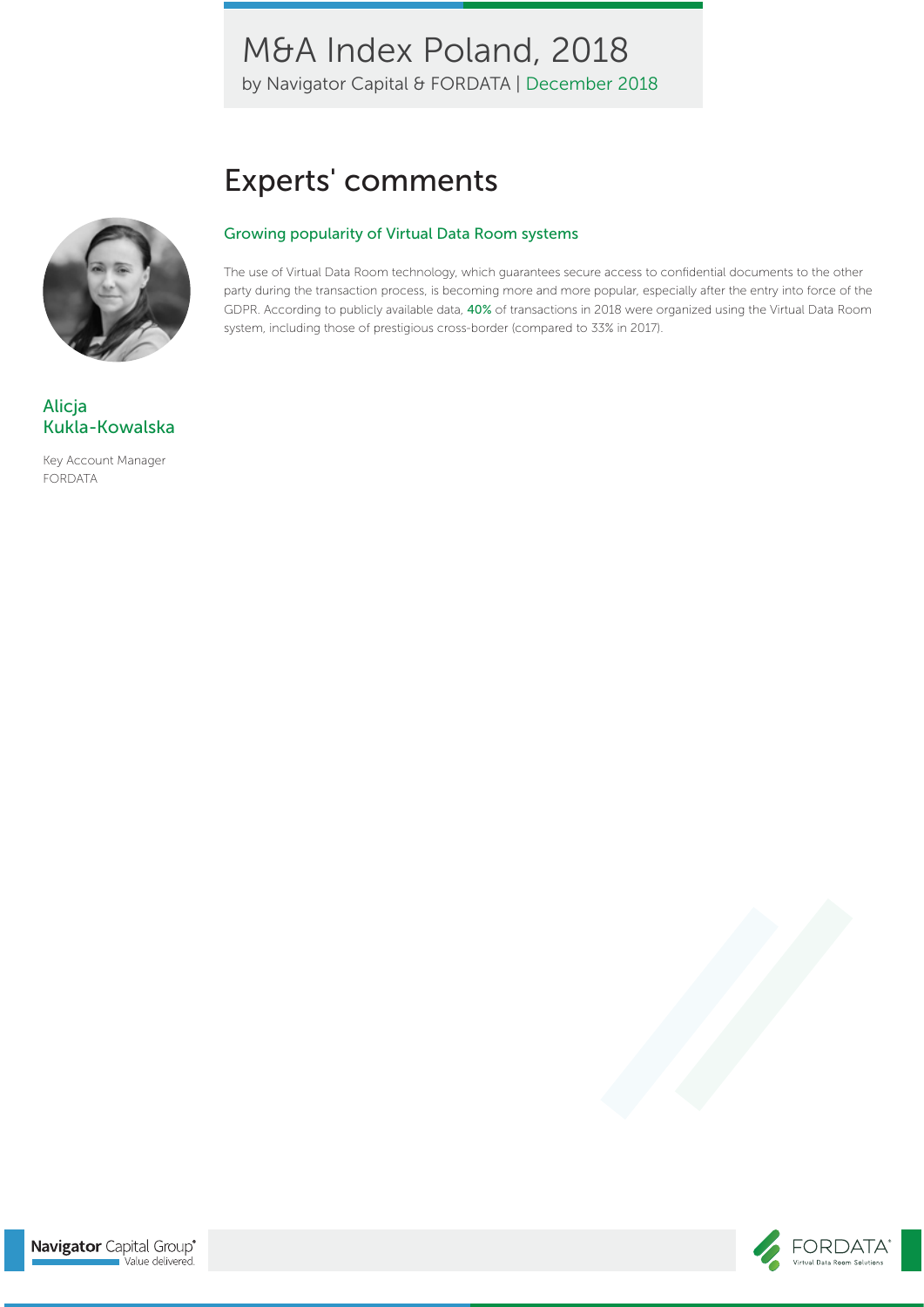by Navigator Capital & FORDATA | December 2018

# Experts' comments

#### Growing popularity of Virtual Data Room systems

The use of Virtual Data Room technology, which guarantees secure access to confidential documents to the other party during the transaction process, is becoming more and more popular, especially after the entry into force of the GDPR. According to publicly available data, 40% of transactions in 2018 were organized using the Virtual Data Room system, including those of prestigious cross-border (compared to 33% in 2017).



### Alicja Kukla-Kowalska

Key Account Manager FORDATA